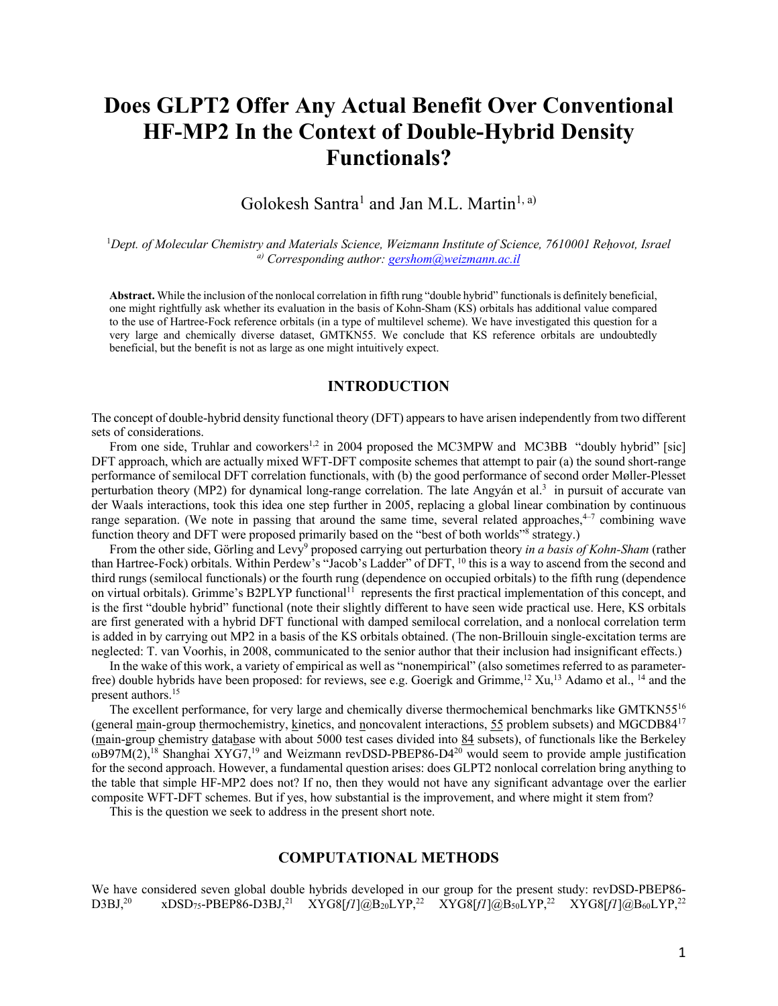# **Does GLPT2 Offer Any Actual Benefit Over Conventional HF-MP2 In the Context of Double-Hybrid Density Functionals?**

Golokesh Santra<sup>1</sup> and Jan M.L. Martin<sup>1, a)</sup>

1 *Dept. of Molecular Chemistry and Materials Science, Weizmann Institute of Science, 7610001 Reḥovot, Israel a) Corresponding author: gershom@weizmann.ac.il*

**Abstract.** While the inclusion of the nonlocal correlation in fifth rung "double hybrid" functionals is definitely beneficial, one might rightfully ask whether its evaluation in the basis of Kohn-Sham (KS) orbitals has additional value compared to the use of Hartree-Fock reference orbitals (in a type of multilevel scheme). We have investigated this question for a very large and chemically diverse dataset, GMTKN55. We conclude that KS reference orbitals are undoubtedly beneficial, but the benefit is not as large as one might intuitively expect.

# **INTRODUCTION**

The concept of double-hybrid density functional theory (DFT) appears to have arisen independently from two different sets of considerations.

From one side, Truhlar and coworkers<sup>1,2</sup> in 2004 proposed the MC3MPW and MC3BB "doubly hybrid" [sic] DFT approach, which are actually mixed WFT-DFT composite schemes that attempt to pair (a) the sound short-range performance of semilocal DFT correlation functionals, with (b) the good performance of second order Møller-Plesset perturbation theory (MP2) for dynamical long-range correlation. The late Angyán et al.<sup>3</sup> in pursuit of accurate van der Waals interactions, took this idea one step further in 2005, replacing a global linear combination by continuous range separation. (We note in passing that around the same time, several related approaches, $4\sigma$  combining wave function theory and DFT were proposed primarily based on the "best of both worlds"<sup>8</sup> strategy.)

From the other side, Görling and Levy<sup>9</sup> proposed carrying out perturbation theory *in a basis of Kohn-Sham* (rather than Hartree-Fock) orbitals. Within Perdew's "Jacob's Ladder" of DFT, <sup>10</sup> this is a way to ascend from the second and third rungs (semilocal functionals) or the fourth rung (dependence on occupied orbitals) to the fifth rung (dependence on virtual orbitals). Grimme's B2PLYP functional<sup>11</sup> represents the first practical implementation of this concept, and is the first "double hybrid" functional (note their slightly different to have seen wide practical use. Here, KS orbitals are first generated with a hybrid DFT functional with damped semilocal correlation, and a nonlocal correlation term is added in by carrying out MP2 in a basis of the KS orbitals obtained. (The non-Brillouin single-excitation terms are neglected: T. van Voorhis, in 2008, communicated to the senior author that their inclusion had insignificant effects.)

In the wake of this work, a variety of empirical as well as "nonempirical" (also sometimes referred to as parameterfree) double hybrids have been proposed: for reviews, see e.g. Goerigk and Grimme,12 Xu,13 Adamo et al., <sup>14</sup> and the present authors.<sup>15</sup>

The excellent performance, for very large and chemically diverse thermochemical benchmarks like GMTKN55<sup>16</sup> (general main-group thermochemistry, kinetics, and noncovalent interactions,  $55$  problem subsets) and MGCDB84<sup>17</sup> (main-group chemistry database with about 5000 test cases divided into 84 subsets), of functionals like the Berkeley  $\omega$ B97M(2),<sup>18</sup> Shanghai XYG7,<sup>19</sup> and Weizmann revDSD-PBEP86-D4<sup>20</sup> would seem to provide ample justification for the second approach. However, a fundamental question arises: does GLPT2 nonlocal correlation bring anything to the table that simple HF-MP2 does not? If no, then they would not have any significant advantage over the earlier composite WFT-DFT schemes. But if yes, how substantial is the improvement, and where might it stem from?

This is the question we seek to address in the present short note.

# **COMPUTATIONAL METHODS**

We have considered seven global double hybrids developed in our group for the present study: revDSD-PBEP86- $D3BJ^{20}$  xDSD<sub>75</sub>-PBEP86-D3BJ,<sup>21</sup> XYG8[f1]@B20LYP,<sup>22</sup> XYG8[f1]@B50LYP,<sup>22</sup> XYG8[f1]@B<sub>60</sub>LYP,<sup>22</sup>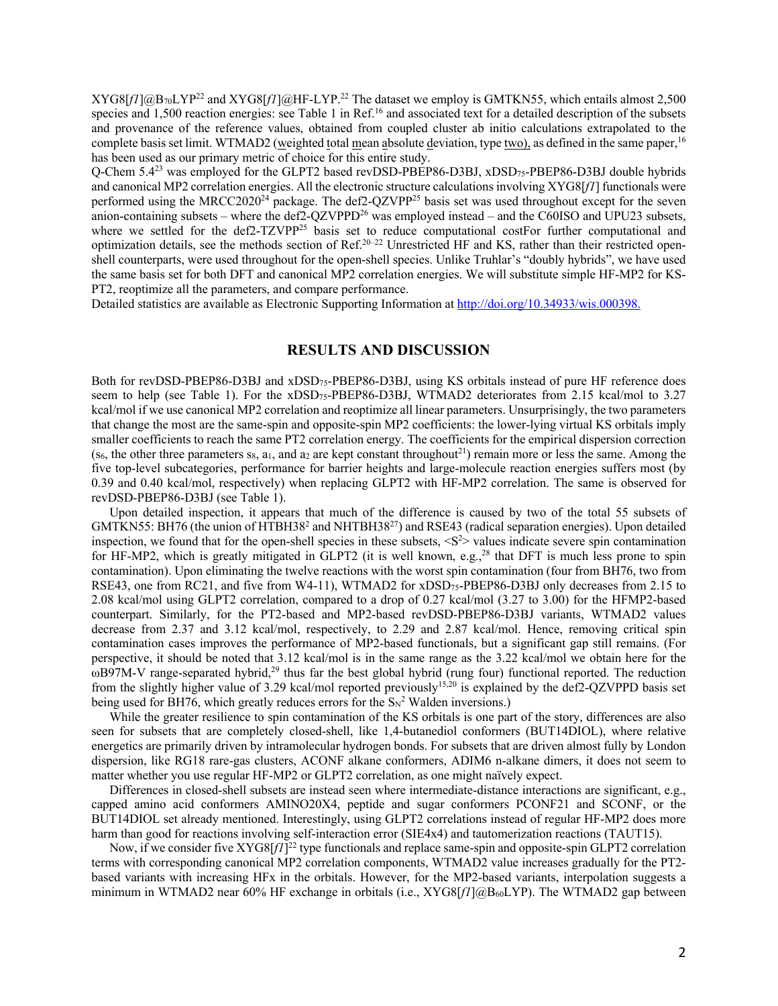XYG8[*f1*]@B70LYP22 and XYG8[*f1*]@HF-LYP.22 The dataset we employ is GMTKN55, which entails almost 2,500 species and 1,500 reaction energies: see Table 1 in Ref.<sup>16</sup> and associated text for a detailed description of the subsets and provenance of the reference values, obtained from coupled cluster ab initio calculations extrapolated to the complete basis set limit. WTMAD2 (weighted total mean absolute deviation, type two), as defined in the same paper,<sup>16</sup> has been used as our primary metric of choice for this entire study.

Q-Chem 5.423 was employed for the GLPT2 based revDSD-PBEP86-D3BJ, xDSD75-PBEP86-D3BJ double hybrids and canonical MP2 correlation energies. All the electronic structure calculations involving XYG8[*f1*] functionals were performed using the MRCC2020<sup>24</sup> package. The def2-QZVPP<sup>25</sup> basis set was used throughout except for the seven anion-containing subsets – where the def2-QZVPPD<sup>26</sup> was employed instead – and the C60ISO and UPU23 subsets, where we settled for the def2-TZVPP<sup>25</sup> basis set to reduce computational costFor further computational and optimization details, see the methods section of Ref.20–22 Unrestricted HF and KS, rather than their restricted openshell counterparts, were used throughout for the open-shell species. Unlike Truhlar's "doubly hybrids", we have used the same basis set for both DFT and canonical MP2 correlation energies. We will substitute simple HF-MP2 for KS-PT2, reoptimize all the parameters, and compare performance.

Detailed statistics are available as Electronic Supporting Information at http://doi.org/10.34933/wis.000398.

### **RESULTS AND DISCUSSION**

Both for revDSD-PBEP86-D3BJ and xDSD75-PBEP86-D3BJ, using KS orbitals instead of pure HF reference does seem to help (see Table 1). For the xDSD75-PBEP86-D3BJ, WTMAD2 deteriorates from 2.15 kcal/mol to 3.27 kcal/mol if we use canonical MP2 correlation and reoptimize all linear parameters. Unsurprisingly, the two parameters that change the most are the same-spin and opposite-spin MP2 coefficients: the lower-lying virtual KS orbitals imply smaller coefficients to reach the same PT2 correlation energy. The coefficients for the empirical dispersion correction (s6, the other three parameters s $_8$ ,  $a_1$ , and  $a_2$  are kept constant throughout<sup>21</sup>) remain more or less the same. Among the five top-level subcategories, performance for barrier heights and large-molecule reaction energies suffers most (by 0.39 and 0.40 kcal/mol, respectively) when replacing GLPT2 with HF-MP2 correlation. The same is observed for revDSD-PBEP86-D3BJ (see Table 1).

Upon detailed inspection, it appears that much of the difference is caused by two of the total 55 subsets of GMTKN55: BH76 (the union of HTBH38<sup>2</sup> and NHTBH38<sup>27</sup>) and RSE43 (radical separation energies). Upon detailed inspection, we found that for the open-shell species in these subsets,  $\langle S^2 \rangle$  values indicate severe spin contamination for HF-MP2, which is greatly mitigated in GLPT2 (it is well known, e.g.,<sup>28</sup> that DFT is much less prone to spin contamination). Upon eliminating the twelve reactions with the worst spin contamination (four from BH76, two from RSE43, one from RC21, and five from W4-11), WTMAD2 for xDSD75-PBEP86-D3BJ only decreases from 2.15 to 2.08 kcal/mol using GLPT2 correlation, compared to a drop of 0.27 kcal/mol (3.27 to 3.00) for the HFMP2-based counterpart. Similarly, for the PT2-based and MP2-based revDSD-PBEP86-D3BJ variants, WTMAD2 values decrease from 2.37 and 3.12 kcal/mol, respectively, to 2.29 and 2.87 kcal/mol. Hence, removing critical spin contamination cases improves the performance of MP2-based functionals, but a significant gap still remains. (For perspective, it should be noted that 3.12 kcal/mol is in the same range as the 3.22 kcal/mol we obtain here for the ωB97M-V range-separated hybrid,<sup>29</sup> thus far the best global hybrid (rung four) functional reported. The reduction from the slightly higher value of 3.29 kcal/mol reported previously<sup>15,20</sup> is explained by the def2-QZVPPD basis set being used for BH76, which greatly reduces errors for the  $\text{Sn}^2$  Walden inversions.)

While the greater resilience to spin contamination of the KS orbitals is one part of the story, differences are also seen for subsets that are completely closed-shell, like 1,4-butanediol conformers (BUT14DIOL), where relative energetics are primarily driven by intramolecular hydrogen bonds. For subsets that are driven almost fully by London dispersion, like RG18 rare-gas clusters, ACONF alkane conformers, ADIM6 n-alkane dimers, it does not seem to matter whether you use regular HF-MP2 or GLPT2 correlation, as one might naïvely expect.

Differences in closed-shell subsets are instead seen where intermediate-distance interactions are significant, e.g., capped amino acid conformers AMINO20X4, peptide and sugar conformers PCONF21 and SCONF, or the BUT14DIOL set already mentioned. Interestingly, using GLPT2 correlations instead of regular HF-MP2 does more harm than good for reactions involving self-interaction error (SIE4x4) and tautomerization reactions (TAUT15).

Now, if we consider five XYG8[*f1*] <sup>22</sup> type functionals and replace same-spin and opposite-spin GLPT2 correlation terms with corresponding canonical MP2 correlation components, WTMAD2 value increases gradually for the PT2 based variants with increasing HFx in the orbitals. However, for the MP2-based variants, interpolation suggests a minimum in WTMAD2 near 60% HF exchange in orbitals (i.e., XYG8[*f1*]@B60LYP). The WTMAD2 gap between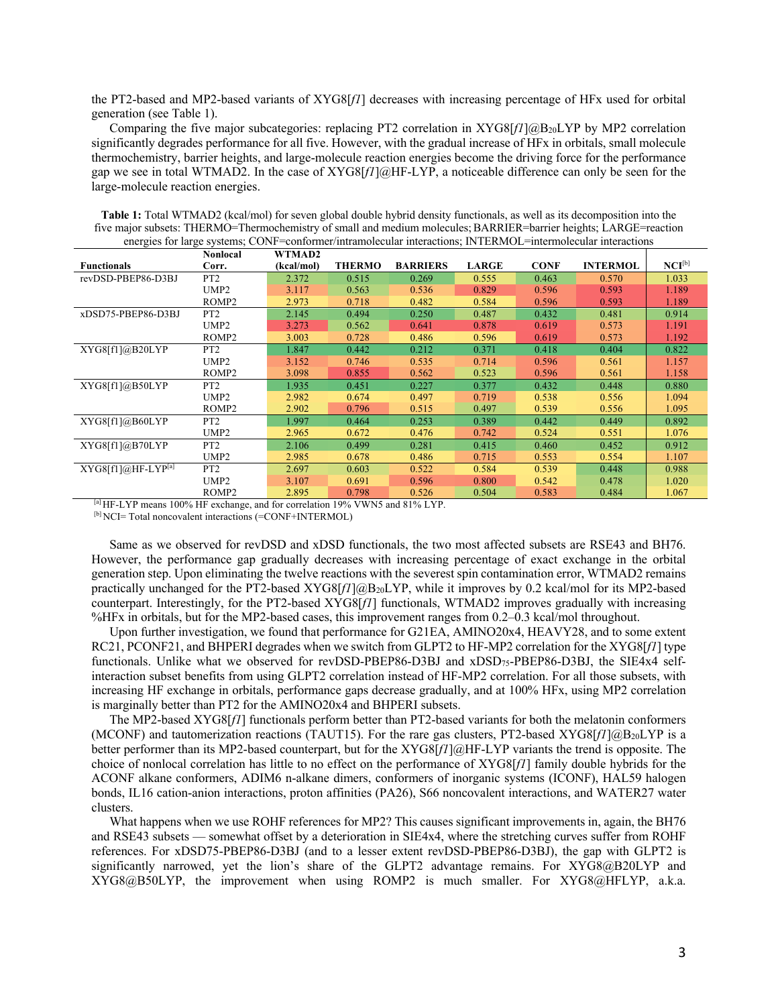the PT2-based and MP2-based variants of XYG8[*f1*] decreases with increasing percentage of HFx used for orbital generation (see Table 1).

Comparing the five major subcategories: replacing PT2 correlation in XYG8[f1]@B<sub>20</sub>LYP by MP2 correlation significantly degrades performance for all five. However, with the gradual increase of HFx in orbitals, small molecule thermochemistry, barrier heights, and large-molecule reaction energies become the driving force for the performance gap we see in total WTMAD2. In the case of XYG8[*f1*]@HF-LYP, a noticeable difference can only be seen for the large-molecule reaction energies.

|                      | Nonlocal          | WTMAD2     |               |                 |              |             |                 |             |
|----------------------|-------------------|------------|---------------|-----------------|--------------|-------------|-----------------|-------------|
| <b>Functionals</b>   | Corr.             | (kcal/mol) | <b>THERMO</b> | <b>BARRIERS</b> | <b>LARGE</b> | <b>CONF</b> | <b>INTERMOL</b> | $NCI^{[b]}$ |
| revDSD-PBEP86-D3BJ   | PT <sub>2</sub>   | 2.372      | 0.515         | 0.269           | 0.555        | 0.463       | 0.570           | 1.033       |
|                      | UMP <sub>2</sub>  | 3.117      | 0.563         | 0.536           | 0.829        | 0.596       | 0.593           | 1.189       |
|                      | ROMP <sub>2</sub> | 2.973      | 0.718         | 0.482           | 0.584        | 0.596       | 0.593           | 1.189       |
| xDSD75-PBEP86-D3BJ   | PT <sub>2</sub>   | 2.145      | 0.494         | 0.250           | 0.487        | 0.432       | 0.481           | 0.914       |
|                      | UMP <sub>2</sub>  | 3.273      | 0.562         | 0.641           | 0.878        | 0.619       | 0.573           | 1.191       |
|                      | ROMP <sub>2</sub> | 3.003      | 0.728         | 0.486           | 0.596        | 0.619       | 0.573           | 1.192       |
| XYG8[f1]@B20LYP      | PT <sub>2</sub>   | 1.847      | 0.442         | 0.212           | 0.371        | 0.418       | 0.404           | 0.822       |
|                      | UMP <sub>2</sub>  | 3.152      | 0.746         | 0.535           | 0.714        | 0.596       | 0.561           | 1.157       |
|                      | ROMP <sub>2</sub> | 3.098      | 0.855         | 0.562           | 0.523        | 0.596       | 0.561           | 1.158       |
| XYG8[f1]@B50LYP      | PT <sub>2</sub>   | 1.935      | 0.451         | 0.227           | 0.377        | 0.432       | 0.448           | 0.880       |
|                      | UMP <sub>2</sub>  | 2.982      | 0.674         | 0.497           | 0.719        | 0.538       | 0.556           | 1.094       |
|                      | ROMP <sub>2</sub> | 2.902      | 0.796         | 0.515           | 0.497        | 0.539       | 0.556           | 1.095       |
| XYG8[f1]@B60LYP      | PT <sub>2</sub>   | 1.997      | 0.464         | 0.253           | 0.389        | 0.442       | 0.449           | 0.892       |
|                      | UMP <sub>2</sub>  | 2.965      | 0.672         | 0.476           | 0.742        | 0.524       | 0.551           | 1.076       |
| XYG8[f1]@B70LYP      | PT <sub>2</sub>   | 2.106      | 0.499         | 0.281           | 0.415        | 0.460       | 0.452           | 0.912       |
|                      | UMP <sub>2</sub>  | 2.985      | 0.678         | 0.486           | 0.715        | 0.553       | 0.554           | 1.107       |
| $XYZ8[f1]@HF-LYP[a]$ | PT <sub>2</sub>   | 2.697      | 0.603         | 0.522           | 0.584        | 0.539       | 0.448           | 0.988       |
|                      | UMP <sub>2</sub>  | 3.107      | 0.691         | 0.596           | 0.800        | 0.542       | 0.478           | 1.020       |
|                      | ROMP <sub>2</sub> | 2.895      | 0.798         | 0.526           | 0.504        | 0.583       | 0.484           | 1.067       |

**Table 1:** Total WTMAD2 (kcal/mol) for seven global double hybrid density functionals, as well as its decomposition into the five major subsets: THERMO=Thermochemistry of small and medium molecules;BARRIER=barrier heights; LARGE=reaction energies for large systems; CONF=conformer/intramolecular interactions; INTERMOL=intermolecular interactions

[a] HF-LYP means 100% HF exchange, and for correlation 19% VWN5 and 81% LYP.

[b] NCI= Total noncovalent interactions (=CONF+INTERMOL)

Same as we observed for revDSD and xDSD functionals, the two most affected subsets are RSE43 and BH76. However, the performance gap gradually decreases with increasing percentage of exact exchange in the orbital generation step. Upon eliminating the twelve reactions with the severest spin contamination error, WTMAD2 remains practically unchanged for the PT2-based XYG8[*f1*]@B<sub>20</sub>LYP, while it improves by 0.2 kcal/mol for its MP2-based counterpart. Interestingly, for the PT2-based XYG8[*f1*] functionals, WTMAD2 improves gradually with increasing %HFx in orbitals, but for the MP2-based cases, this improvement ranges from 0.2–0.3 kcal/mol throughout.

Upon further investigation, we found that performance for G21EA, AMINO20x4, HEAVY28, and to some extent RC21, PCONF21, and BHPERI degrades when we switch from GLPT2 to HF-MP2 correlation for the XYG8[*f1*] type functionals. Unlike what we observed for revDSD-PBEP86-D3BJ and xDSD75-PBEP86-D3BJ, the SIE4x4 selfinteraction subset benefits from using GLPT2 correlation instead of HF-MP2 correlation. For all those subsets, with increasing HF exchange in orbitals, performance gaps decrease gradually, and at 100% HFx, using MP2 correlation is marginally better than PT2 for the AMINO20x4 and BHPERI subsets.

The MP2-based XYG8[*f1*] functionals perform better than PT2-based variants for both the melatonin conformers (MCONF) and tautomerization reactions (TAUT15). For the rare gas clusters, PT2-based XYG8[f][@B<sub>20</sub>LYP is a better performer than its MP2-based counterpart, but for the XYG8[*f1*]@HF-LYP variants the trend is opposite. The choice of nonlocal correlation has little to no effect on the performance of XYG8[*f1*] family double hybrids for the ACONF alkane conformers, ADIM6 n-alkane dimers, conformers of inorganic systems (ICONF), HAL59 halogen bonds, IL16 cation-anion interactions, proton affinities (PA26), S66 noncovalent interactions, and WATER27 water clusters.

What happens when we use ROHF references for MP2? This causes significant improvements in, again, the BH76 and RSE43 subsets — somewhat offset by a deterioration in SIE4x4, where the stretching curves suffer from ROHF references. For xDSD75-PBEP86-D3BJ (and to a lesser extent revDSD-PBEP86-D3BJ), the gap with GLPT2 is significantly narrowed, yet the lion's share of the GLPT2 advantage remains. For XYG8@B20LYP and XYG8@B50LYP, the improvement when using ROMP2 is much smaller. For XYG8@HFLYP, a.k.a.